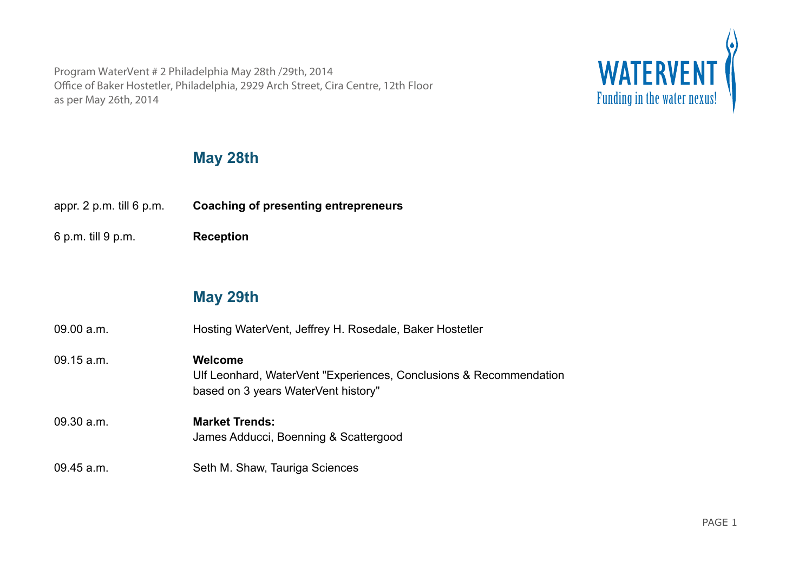Program WaterVent # 2 Philadelphia May 28th /29th, 2014 Office of Baker Hostetler, Philadelphia, 2929 Arch Street, Cira Centre, 12th Floor Program WaterVent # 2 Philadelphia May 28th /29th, 2014<br>
Office of Baker Hostetler, Philadelphia, 2929 Arch Street, Cira Centre, 12th Floor<br>
as per May 26th, 2014<br> **Punding in the water nexus!** 



## **May 28th**

appr. 2 p.m. till 6 p.m. **Coaching of presenting entrepreneurs**

6 p.m. till 9 p.m. **Reception**

## **May 29th**

09.00 a.m. Hosting WaterVent, Jeffrey H. Rosedale, Baker Hostetler 09.15 a.m. **Welcome** Ulf Leonhard, WaterVent "Experiences, Conclusions & Recommendation based on 3 years WaterVent history" 09.30 a.m. **Market Trends:** James Adducci, Boenning & Scattergood

## 09.45 a.m. Seth M. Shaw, Tauriga Sciences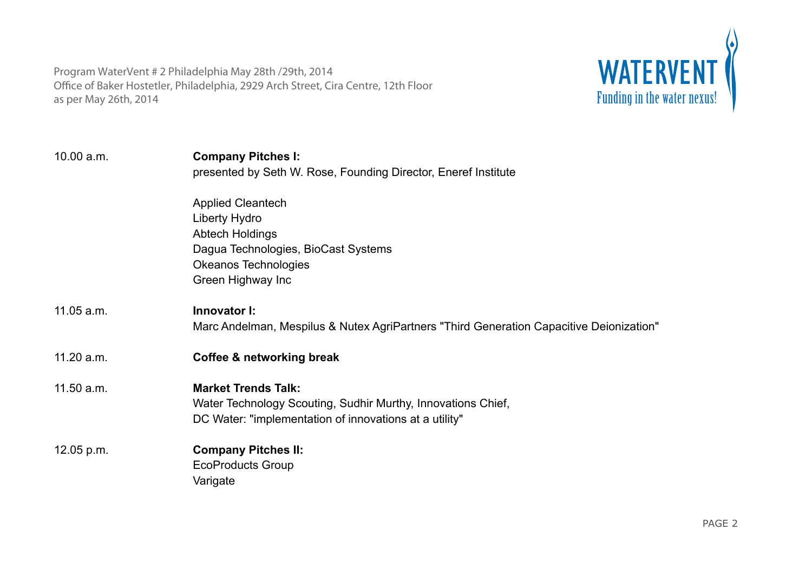

| 10.00 a.m.   | <b>Company Pitches I:</b><br>presented by Seth W. Rose, Founding Director, Eneref Institute |
|--------------|---------------------------------------------------------------------------------------------|
|              | <b>Applied Cleantech</b>                                                                    |
|              | Liberty Hydro                                                                               |
|              | <b>Abtech Holdings</b>                                                                      |
|              | Dagua Technologies, BioCast Systems                                                         |
|              | <b>Okeanos Technologies</b>                                                                 |
|              | Green Highway Inc                                                                           |
| 11.05 a.m.   | Innovator I:                                                                                |
|              | Marc Andelman, Mespilus & Nutex AgriPartners "Third Generation Capacitive Deionization"     |
| 11.20 a.m.   | Coffee & networking break                                                                   |
| 11.50 a.m.   | <b>Market Trends Talk:</b>                                                                  |
|              | Water Technology Scouting, Sudhir Murthy, Innovations Chief,                                |
|              | DC Water: "implementation of innovations at a utility"                                      |
| $12.05$ p.m. | <b>Company Pitches II:</b>                                                                  |
|              | <b>EcoProducts Group</b>                                                                    |
|              | Varigate                                                                                    |
|              |                                                                                             |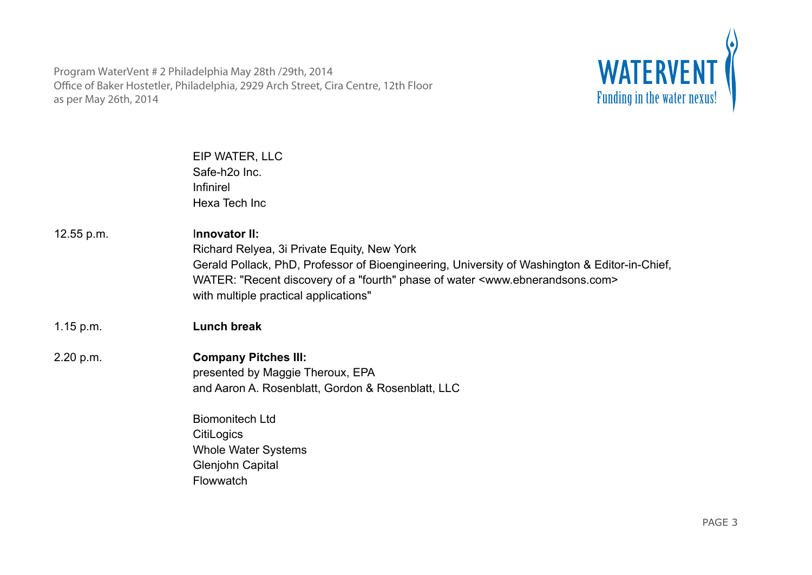

|            | EIP WATER, LLC<br>Safe-h <sub>20</sub> Inc.<br>Infinirel<br>Hexa Tech Inc                                                                                                                                                                                                                                      |
|------------|----------------------------------------------------------------------------------------------------------------------------------------------------------------------------------------------------------------------------------------------------------------------------------------------------------------|
| 12.55 p.m. | Innovator II:<br>Richard Relyea, 3i Private Equity, New York<br>Gerald Pollack, PhD, Professor of Bioengineering, University of Washington & Editor-in-Chief,<br>WATER: "Recent discovery of a "fourth" phase of water <www.ebnerandsons.com><br/>with multiple practical applications"</www.ebnerandsons.com> |
| 1.15 p.m.  | <b>Lunch break</b>                                                                                                                                                                                                                                                                                             |
| 2.20 p.m.  | <b>Company Pitches III:</b><br>presented by Maggie Theroux, EPA<br>and Aaron A. Rosenblatt, Gordon & Rosenblatt, LLC<br><b>Biomonitech Ltd</b><br><b>CitiLogics</b>                                                                                                                                            |
|            | <b>Whole Water Systems</b><br><b>Glenjohn Capital</b><br>Flowwatch                                                                                                                                                                                                                                             |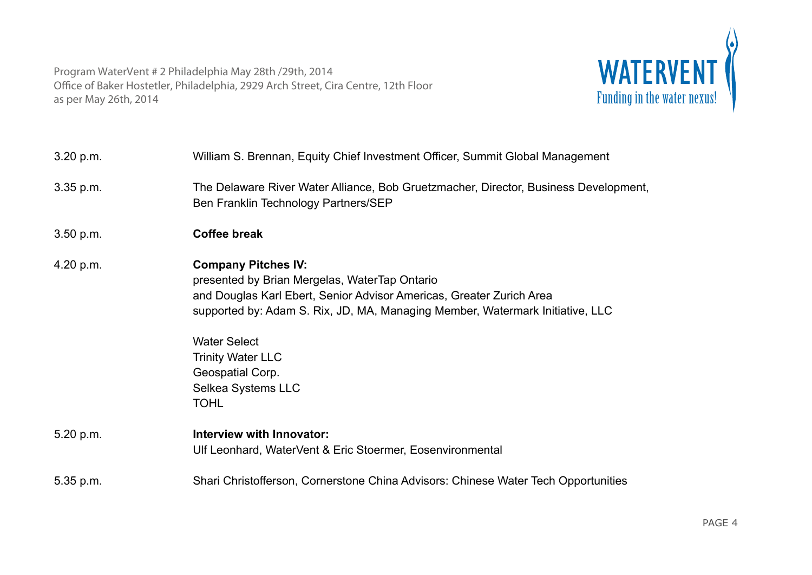

| 3.20 p.m.   | William S. Brennan, Equity Chief Investment Officer, Summit Global Management                                                                                                                                                                                                                                                                    |
|-------------|--------------------------------------------------------------------------------------------------------------------------------------------------------------------------------------------------------------------------------------------------------------------------------------------------------------------------------------------------|
| $3.35$ p.m. | The Delaware River Water Alliance, Bob Gruetzmacher, Director, Business Development,<br>Ben Franklin Technology Partners/SEP                                                                                                                                                                                                                     |
| 3.50 p.m.   | <b>Coffee break</b>                                                                                                                                                                                                                                                                                                                              |
| 4.20 p.m.   | <b>Company Pitches IV:</b><br>presented by Brian Mergelas, WaterTap Ontario<br>and Douglas Karl Ebert, Senior Advisor Americas, Greater Zurich Area<br>supported by: Adam S. Rix, JD, MA, Managing Member, Watermark Initiative, LLC<br><b>Water Select</b><br><b>Trinity Water LLC</b><br>Geospatial Corp.<br>Selkea Systems LLC<br><b>TOHL</b> |
| 5.20 p.m.   | Interview with Innovator:<br>Ulf Leonhard, WaterVent & Eric Stoermer, Eosenvironmental                                                                                                                                                                                                                                                           |
| 5.35 p.m.   | Shari Christofferson, Cornerstone China Advisors: Chinese Water Tech Opportunities                                                                                                                                                                                                                                                               |